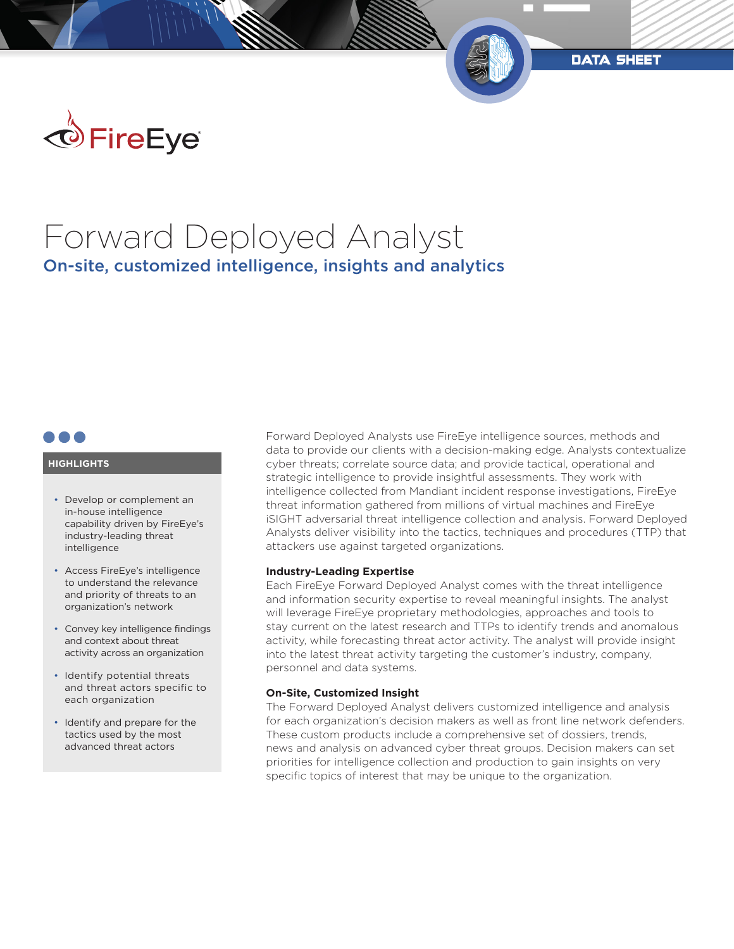

# Forward Deployed Analyst On-site, customized intelligence, insights and analytics

## **HIGHLIGHTS**

- Develop or complement an in-house intelligence capability driven by FireEye's industry-leading threat intelligence
- Access FireEye's intelligence to understand the relevance and priority of threats to an organization's network
- Convey key intelligence findings and context about threat activity across an organization
- Identify potential threats and threat actors specific to each organization
- Identify and prepare for the tactics used by the most advanced threat actors

Forward Deployed Analysts use FireEye intelligence sources, methods and data to provide our clients with a decision-making edge. Analysts contextualize cyber threats; correlate source data; and provide tactical, operational and strategic intelligence to provide insightful assessments. They work with intelligence collected from Mandiant incident response investigations, FireEye threat information gathered from millions of virtual machines and FireEye iSIGHT adversarial threat intelligence collection and analysis. Forward Deployed Analysts deliver visibility into the tactics, techniques and procedures (TTP) that attackers use against targeted organizations.

data sheet

### **Industry-Leading Expertise**

Each FireEye Forward Deployed Analyst comes with the threat intelligence and information security expertise to reveal meaningful insights. The analyst will leverage FireEye proprietary methodologies, approaches and tools to stay current on the latest research and TTPs to identify trends and anomalous activity, while forecasting threat actor activity. The analyst will provide insight into the latest threat activity targeting the customer's industry, company, personnel and data systems.

#### **On-Site, Customized Insight**

The Forward Deployed Analyst delivers customized intelligence and analysis for each organization's decision makers as well as front line network defenders. These custom products include a comprehensive set of dossiers, trends, news and analysis on advanced cyber threat groups. Decision makers can set priorities for intelligence collection and production to gain insights on very specific topics of interest that may be unique to the organization.